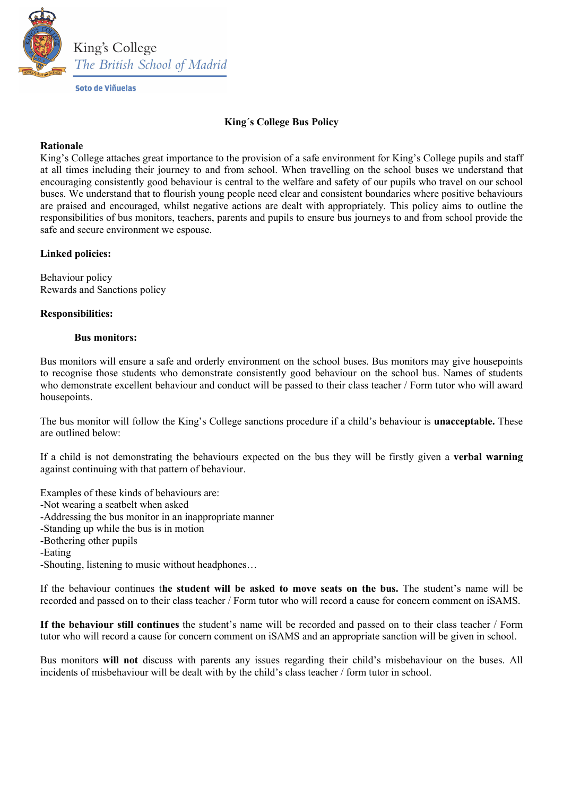

# King´s College Bus Policy

#### Rationale

King's College attaches great importance to the provision of a safe environment for King's College pupils and staff at all times including their journey to and from school. When travelling on the school buses we understand that encouraging consistently good behaviour is central to the welfare and safety of our pupils who travel on our school buses. We understand that to flourish young people need clear and consistent boundaries where positive behaviours are praised and encouraged, whilst negative actions are dealt with appropriately. This policy aims to outline the responsibilities of bus monitors, teachers, parents and pupils to ensure bus journeys to and from school provide the safe and secure environment we espouse.

## Linked policies:

Behaviour policy Rewards and Sanctions policy

#### Responsibilities:

#### Bus monitors:

Bus monitors will ensure a safe and orderly environment on the school buses. Bus monitors may give housepoints to recognise those students who demonstrate consistently good behaviour on the school bus. Names of students who demonstrate excellent behaviour and conduct will be passed to their class teacher / Form tutor who will award housepoints.

The bus monitor will follow the King's College sanctions procedure if a child's behaviour is **unacceptable.** These are outlined below:

If a child is not demonstrating the behaviours expected on the bus they will be firstly given a verbal warning against continuing with that pattern of behaviour.

Examples of these kinds of behaviours are:

-Not wearing a seatbelt when asked

-Addressing the bus monitor in an inappropriate manner

-Standing up while the bus is in motion

-Bothering other pupils

-Eating

-Shouting, listening to music without headphones…

If the behaviour continues the student will be asked to move seats on the bus. The student's name will be recorded and passed on to their class teacher / Form tutor who will record a cause for concern comment on iSAMS.

If the behaviour still continues the student's name will be recorded and passed on to their class teacher / Form tutor who will record a cause for concern comment on iSAMS and an appropriate sanction will be given in school.

Bus monitors will not discuss with parents any issues regarding their child's misbehaviour on the buses. All incidents of misbehaviour will be dealt with by the child's class teacher / form tutor in school.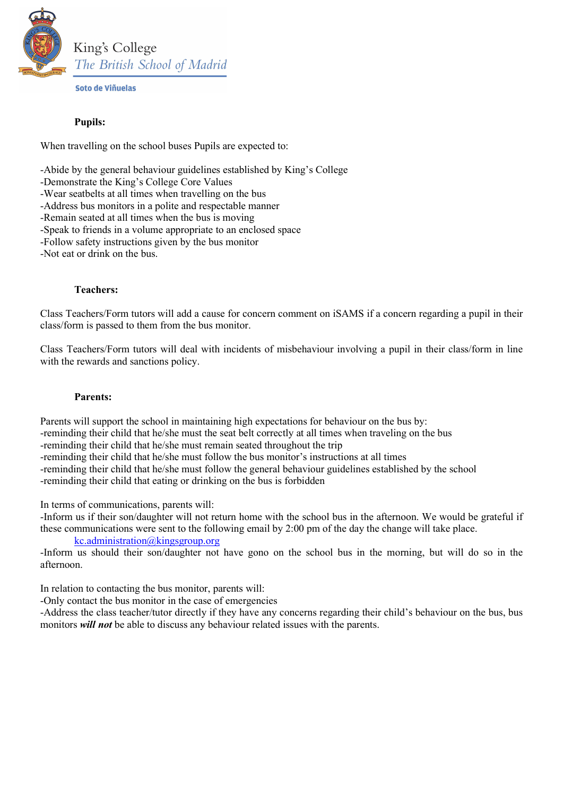

Soto de Viñuelas

# Pupils:

When travelling on the school buses Pupils are expected to:

-Abide by the general behaviour guidelines established by King's College

- -Wear seatbelts at all times when travelling on the bus
- -Address bus monitors in a polite and respectable manner
- -Remain seated at all times when the bus is moving
- -Speak to friends in a volume appropriate to an enclosed space
- -Follow safety instructions given by the bus monitor
- -Not eat or drink on the bus.

## Teachers:

Class Teachers/Form tutors will add a cause for concern comment on iSAMS if a concern regarding a pupil in their class/form is passed to them from the bus monitor.

Class Teachers/Form tutors will deal with incidents of misbehaviour involving a pupil in their class/form in line with the rewards and sanctions policy.

## Parents:

Parents will support the school in maintaining high expectations for behaviour on the bus by: -reminding their child that he/she must the seat belt correctly at all times when traveling on the bus -reminding their child that he/she must remain seated throughout the trip -reminding their child that he/she must follow the bus monitor's instructions at all times -reminding their child that he/she must follow the general behaviour guidelines established by the school -reminding their child that eating or drinking on the bus is forbidden

In terms of communications, parents will:

-Inform us if their son/daughter will not return home with the school bus in the afternoon. We would be grateful if these communications were sent to the following email by 2:00 pm of the day the change will take place.

# kc.administration@kingsgroup.org

-Inform us should their son/daughter not have gono on the school bus in the morning, but will do so in the afternoon.

In relation to contacting the bus monitor, parents will:

-Only contact the bus monitor in the case of emergencies

-Address the class teacher/tutor directly if they have any concerns regarding their child's behaviour on the bus, bus monitors *will not* be able to discuss any behaviour related issues with the parents.

<sup>-</sup>Demonstrate the King's College Core Values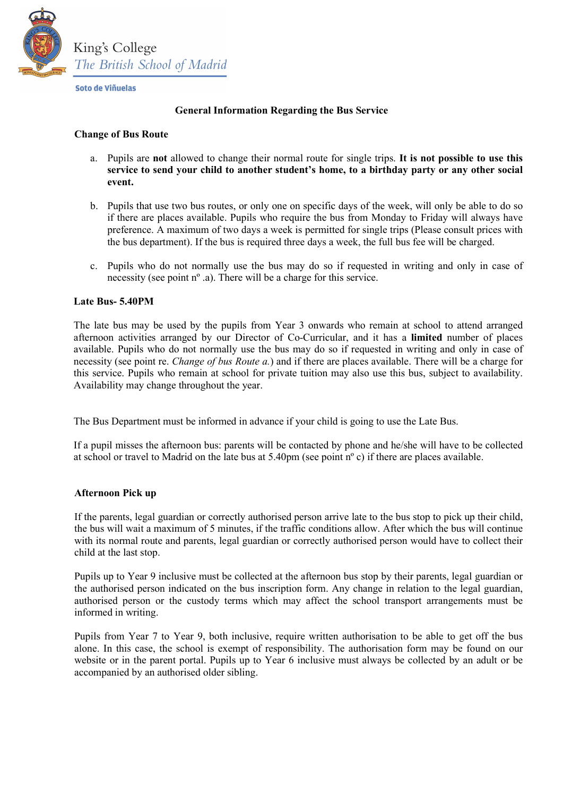

Soto de Viñuelas

## General Information Regarding the Bus Service

#### Change of Bus Route

- a. Pupils are not allowed to change their normal route for single trips. It is not possible to use this service to send your child to another student's home, to a birthday party or any other social event.
- b. Pupils that use two bus routes, or only one on specific days of the week, will only be able to do so if there are places available. Pupils who require the bus from Monday to Friday will always have preference. A maximum of two days a week is permitted for single trips (Please consult prices with the bus department). If the bus is required three days a week, the full bus fee will be charged.
- c. Pupils who do not normally use the bus may do so if requested in writing and only in case of necessity (see point nº .a). There will be a charge for this service.

#### Late Bus- 5.40PM

The late bus may be used by the pupils from Year 3 onwards who remain at school to attend arranged afternoon activities arranged by our Director of Co-Curricular, and it has a limited number of places available. Pupils who do not normally use the bus may do so if requested in writing and only in case of necessity (see point re. *Change of bus Route a.*) and if there are places available. There will be a charge for this service. Pupils who remain at school for private tuition may also use this bus, subject to availability. Availability may change throughout the year.

The Bus Department must be informed in advance if your child is going to use the Late Bus.

If a pupil misses the afternoon bus: parents will be contacted by phone and he/she will have to be collected at school or travel to Madrid on the late bus at 5.40pm (see point nº c) if there are places available.

## Afternoon Pick up

If the parents, legal guardian or correctly authorised person arrive late to the bus stop to pick up their child, the bus will wait a maximum of 5 minutes, if the traffic conditions allow. After which the bus will continue with its normal route and parents, legal guardian or correctly authorised person would have to collect their child at the last stop.

Pupils up to Year 9 inclusive must be collected at the afternoon bus stop by their parents, legal guardian or the authorised person indicated on the bus inscription form. Any change in relation to the legal guardian, authorised person or the custody terms which may affect the school transport arrangements must be informed in writing.

Pupils from Year 7 to Year 9, both inclusive, require written authorisation to be able to get off the bus alone. In this case, the school is exempt of responsibility. The authorisation form may be found on our website or in the parent portal. Pupils up to Year 6 inclusive must always be collected by an adult or be accompanied by an authorised older sibling.